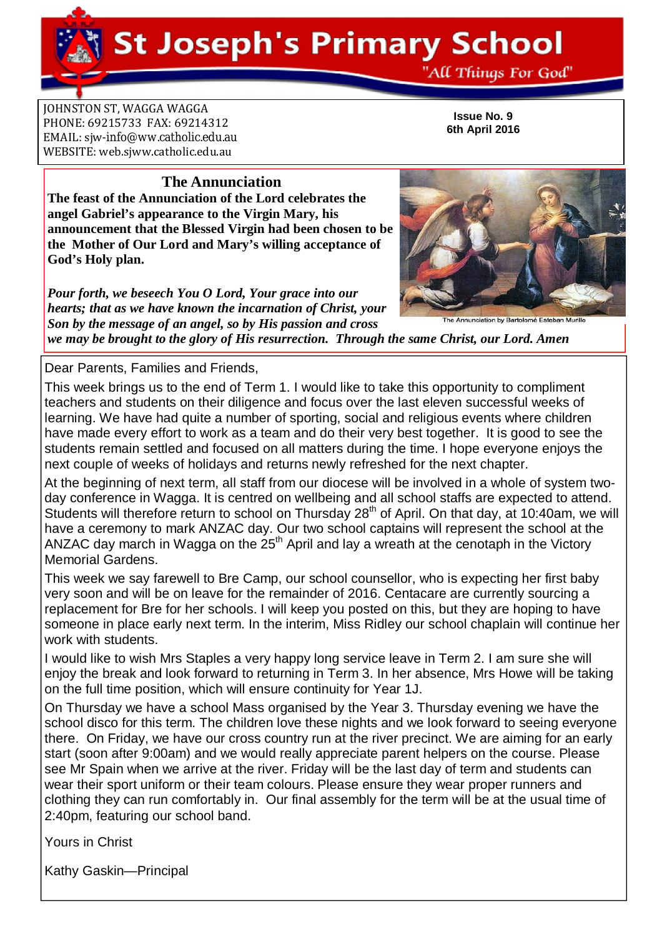**St Joseph's Primary School** 

"All Things For God"

**JOHNSTON ST, WAGGA WAGGA** PHONE: 69215733 FAX: 69214312 EMAIL: siw[-info@ww.catholic.edu.au](mailto:-info@ww.catholic.edu.au) WEBSITE: web.sjww.catholic.edu.au

**Issue No. 9 6th April 2016**

### **The Annunciation**

**The feast of the Annunciation of the Lord celebrates the angel Gabriel's appearance to the Virgin Mary, his announcement that the Blessed Virgin had been chosen to be the Mother of Our Lord and Mary's willing acceptance of God's Holy plan.** 

*Pour forth, we beseech You O Lord, Your grace into our hearts; that as we have known the incarnation of Christ, your Son by the message of an angel, so by His passion and cross* 

*we may be brought to the glory of His resurrection. Through the same Christ, our Lord. Amen* 

Dear Parents, Families and Friends,

This week brings us to the end of Term 1. I would like to take this opportunity to compliment teachers and students on their diligence and focus over the last eleven successful weeks of learning. We have had quite a number of sporting, social and religious events where children have made every effort to work as a team and do their very best together. It is good to see the students remain settled and focused on all matters during the time. I hope everyone enjoys the next couple of weeks of holidays and returns newly refreshed for the next chapter.

At the beginning of next term, all staff from our diocese will be involved in a whole of system twoday conference in Wagga. It is centred on wellbeing and all school staffs are expected to attend. Students will therefore return to school on Thursday 28<sup>th</sup> of April. On that day, at 10:40am, we will have a ceremony to mark ANZAC day. Our two school captains will represent the school at the ANZAC day march in Wagga on the  $25<sup>th</sup>$  April and lay a wreath at the cenotaph in the Victory Memorial Gardens.

This week we say farewell to Bre Camp, our school counsellor, who is expecting her first baby very soon and will be on leave for the remainder of 2016. Centacare are currently sourcing a replacement for Bre for her schools. I will keep you posted on this, but they are hoping to have someone in place early next term. In the interim, Miss Ridley our school chaplain will continue her work with students.

I would like to wish Mrs Staples a very happy long service leave in Term 2. I am sure she will enjoy the break and look forward to returning in Term 3. In her absence, Mrs Howe will be taking on the full time position, which will ensure continuity for Year 1J.

On Thursday we have a school Mass organised by the Year 3. Thursday evening we have the school disco for this term. The children love these nights and we look forward to seeing everyone there. On Friday, we have our cross country run at the river precinct. We are aiming for an early start (soon after 9:00am) and we would really appreciate parent helpers on the course. Please see Mr Spain when we arrive at the river. Friday will be the last day of term and students can wear their sport uniform or their team colours. Please ensure they wear proper runners and clothing they can run comfortably in. Our final assembly for the term will be at the usual time of 2:40pm, featuring our school band.

Kathy Gaskin—Principal



nunciation by Bartolomé Esteban Murillo



Yours in Christ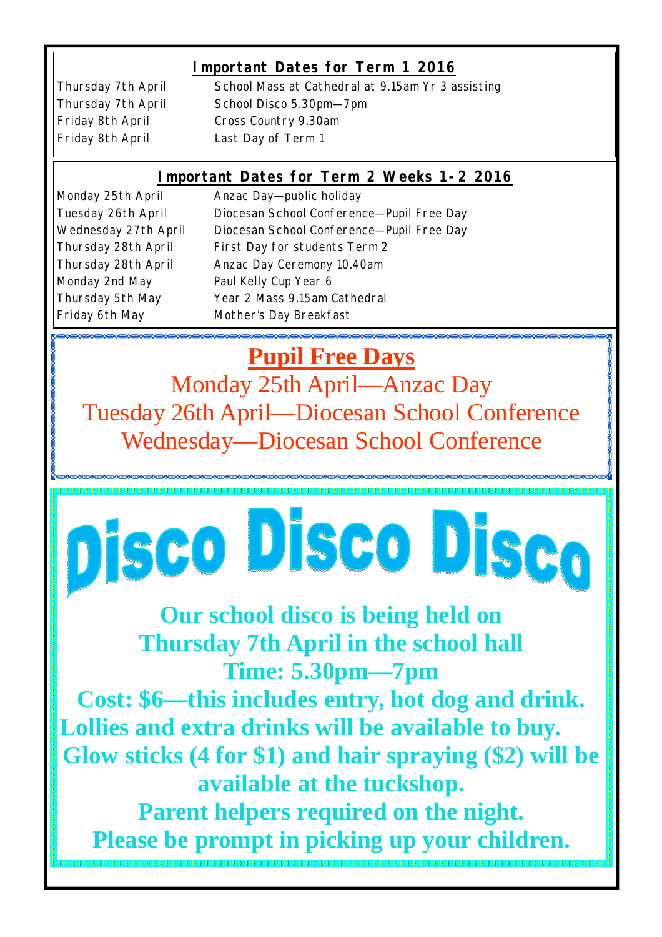# **Important Dates for Term 1 2016**

Friday 8th April Last Day of Term 1

Thursday 7th April School Mass at Cathedral at 9.15am Yr 3 assisting Thursday 7th April School Disco 5.30pm—7pm Friday 8th April Cross Country 9.30am

## **Important Dates for Term 2 Weeks 1-2 2016**

Monday 2nd May Paul Kelly Cup Year 6

Monday 25th April Anzac Day-public holiday Tuesday 26th April Diocesan School Conference—Pupil Free Day Wednesday 27th April Diocesan School Conference—Pupil Free Day Thursday 28th April First Day for students Term 2 Thursday 28th April Anzac Day Ceremony 10.40am Thursday 5th May Year 2 Mass 9.15am Cathedral Friday 6th May Mother's Day Breakfast

**Pupil Free Days** Monday 25th April—Anzac Day Tuesday 26th April—Diocesan School Conference Wednesday—Diocesan School Conference

# Disco Disco Disco

**Our school disco is being held on Thursday 7th April in the school hall Time: 5.30pm—7pm**

**Cost: \$6—this includes entry, hot dog and drink. Lollies and extra drinks will be available to buy. Glow sticks (4 for \$1) and hair spraying (\$2) will be available at the tuckshop.**

**Parent helpers required on the night. Please be prompt in picking up your children.**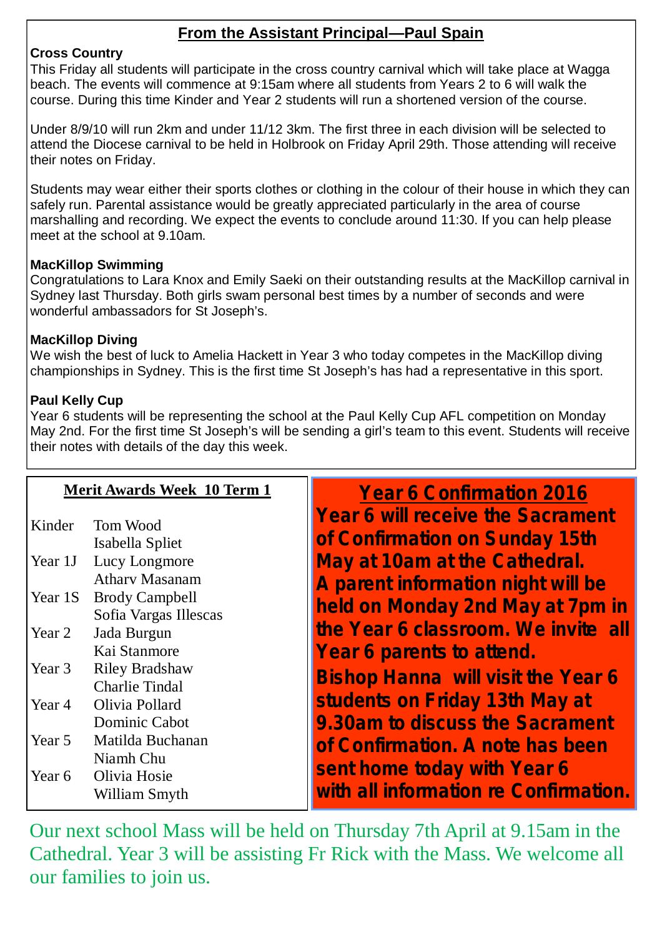# **From the Assistant Principal—Paul Spain**

## **Cross Country**

This Friday all students will participate in the cross country carnival which will take place at Wagga beach. The events will commence at 9:15am where all students from Years 2 to 6 will walk the course. During this time Kinder and Year 2 students will run a shortened version of the course.

Under 8/9/10 will run 2km and under 11/12 3km. The first three in each division will be selected to attend the Diocese carnival to be held in Holbrook on Friday April 29th. Those attending will receive their notes on Friday.

Students may wear either their sports clothes or clothing in the colour of their house in which they can safely run. Parental assistance would be greatly appreciated particularly in the area of course marshalling and recording. We expect the events to conclude around 11:30. If you can help please meet at the school at 9.10am.

## **MacKillop Swimming**

Congratulations to Lara Knox and Emily Saeki on their outstanding results at the MacKillop carnival in Sydney last Thursday. Both girls swam personal best times by a number of seconds and were wonderful ambassadors for St Joseph's.

## **MacKillop Diving**

We wish the best of luck to Amelia Hackett in Year 3 who today competes in the MacKillop diving championships in Sydney. This is the first time St Joseph's has had a representative in this sport.

## **Paul Kelly Cup**

Year 6 students will be representing the school at the Paul Kelly Cup AFL competition on Monday May 2nd. For the first time St Joseph's will be sending a girl's team to this event. Students will receive their notes with details of the day this week.

| <b>Merit Awards Week 10 Term 1</b> |                                                | <b>Year 6 Confirmation 2016</b>                                            |
|------------------------------------|------------------------------------------------|----------------------------------------------------------------------------|
| Kinder                             | Tom Wood<br>Isabella Spliet                    | <b>Year 6 will receive the Sacrament</b><br>of Confirmation on Sunday 15th |
| Year 1J                            | Lucy Longmore                                  | May at 10am at the Cathedral.                                              |
|                                    | <b>Athary Masanam</b>                          | A parent information night will be                                         |
| Year 1S                            | <b>Brody Campbell</b><br>Sofia Vargas Illescas | held on Monday 2nd May at 7pm in                                           |
| Year 2                             | Jada Burgun                                    | the Year 6 classroom. We invite all                                        |
|                                    | Kai Stanmore                                   | Year 6 parents to attend.                                                  |
| Year 3                             | <b>Riley Bradshaw</b><br><b>Charlie Tindal</b> | <b>Bishop Hanna will visit the Year 6</b>                                  |
| Year 4                             | Olivia Pollard                                 | students on Friday 13th May at                                             |
|                                    | Dominic Cabot                                  | 9.30am to discuss the Sacrament                                            |
| Year 5                             | Matilda Buchanan                               | of Confirmation. A note has been                                           |
| Year 6                             | Niamh Chu<br>Olivia Hosie<br>William Smyth     | sent home today with Year 6<br>with all information re Confirmation.       |

Our next school Mass will be held on Thursday 7th April at 9.15am in the Cathedral. Year 3 will be assisting Fr Rick with the Mass. We welcome all our families to join us.